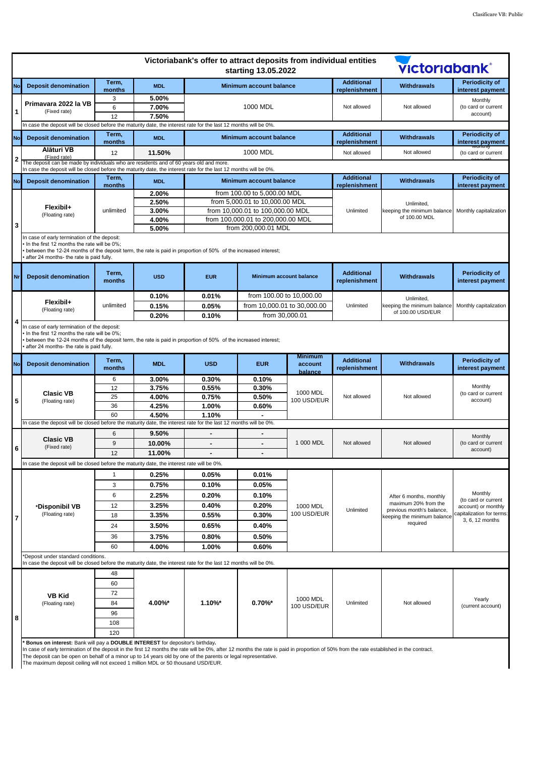| <b>Additional</b><br>Term,<br><b>Periodicity of</b><br><b>Withdrawals</b><br>No<br><b>Deposit denomination</b><br><b>MDL</b><br><b>Minimum account balance</b><br>months<br>replenishment<br>interest payment<br>3<br>5.00%<br>Monthly<br>Primavara 2022 la VB<br>6<br>7.00%<br>1000 MDL<br>Not allowed<br>Not allowed<br>(to card or current<br>1<br>(Fixed rate)<br>account)<br>12<br>7.50%<br>In case the deposit will be closed before the maturity date, the interest rate for the last 12 months will be 0%.<br><b>Additional</b><br><b>Periodicity of</b><br>Term,<br>No<br><b>MDL</b><br><b>Minimum account balance</b><br><b>Withdrawals</b><br><b>Deposit denomination</b><br>replenishment<br>months<br>interest payment<br>Alături VB<br>1000 MDL<br>12<br>Not allowed<br>11.50%<br>Not allowed<br>(to card or current<br>(Fixed rate)<br>2<br>The deposit can be made by individuals who are residents and of 60 years old and more.<br>In case the deposit will be closed before the maturity date, the interest rate for the last 12 months will be 0%.<br><b>Additional</b><br><b>Periodicity of</b><br>Term,<br><b>Minimum account balance</b><br><b>Withdrawals</b><br><b>Deposit denomination</b><br><b>MDL</b><br>No<br>replenishment<br>interest payment<br>months<br>from 100.00 to 5,000.00 MDL<br>2.00%<br>from 5,000.01 to 10,000.00 MDL<br>2.50%<br>Unlimited,<br>Flexibil+<br>3.00%<br>from 10,000.01 to 100,000.00 MDL<br>Unlimited<br>keeping the minimum balance<br>Monthly capitalization<br>unlimited<br>(Floating rate)<br>of 100.00 MDL<br>from 100,000.01 to 200,000.00 MDL<br>4.00%<br>3<br>from 200,000.01 MDL<br>5.00%<br>In case of early termination of the deposit:<br>In the first 12 months the rate will be 0%;<br>between the 12-24 months of the deposit term, the rate is paid in proportion of 50% of the increased interest;<br>after 24 months- the rate is paid fully.<br><b>Additional</b><br><b>Periodicity of</b><br>Term,<br><b>USD</b><br><b>Minimum account balance</b><br><b>Withdrawals</b><br>Nr<br><b>Deposit denomination</b><br><b>EUR</b><br>months<br>replenishment<br>interest payment<br>from 100.00 to 10,000.00<br>0.10%<br>0.01%<br>Unlimited,<br>Flexibil+<br>from 10,000.01 to 30,000.00<br>unlimited<br>0.15%<br>0.05%<br>Unlimited<br>keeping the minimum balance<br>Monthly capitalization<br>(Floating rate)<br>of 100.00 USD/EUR<br>from 30,000.01<br>0.20%<br>0.10%<br>4<br>In case of early termination of the deposit:<br>In the first 12 months the rate will be 0%;<br>between the 12-24 months of the deposit term, the rate is paid in proportion of 50% of the increased interest;<br>after 24 months- the rate is paid fully.<br><b>Minimum</b><br><b>Additional</b><br><b>Periodicity of</b><br>Term,<br><b>Withdrawals</b><br>No<br><b>MDL</b><br><b>USD</b><br><b>EUR</b><br><b>Deposit denomination</b><br>account<br>months<br>replenishment<br>interest payment<br>balance<br>3.00%<br>0.30%<br>0.10%<br>6<br>Monthly<br>12<br>3.75%<br>0.30%<br>0.55%<br><b>Clasic VB</b><br>1000 MDL<br>(to card or current<br>25<br>4.00%<br>0.75%<br>0.50%<br>Not allowed<br>Not allowed<br>100 USD/EUR<br>account)<br>5<br>(Floating rate)<br>36<br>4.25%<br>1.00%<br>0.60%<br>60<br>4.50%<br>1.10%<br>In case the deposit will be closed before the maturity date, the interest rate for the last 12 months will be 0%.<br>6<br>9.50%<br>Monthly<br><b>Clasic VB</b><br>1 000 MDL<br>9<br>Not allowed<br>Not allowed<br>(to card or current<br>10.00%<br>$\blacksquare$<br>$\blacksquare$<br>(Fixed rate)<br>6<br>account)<br>12<br>11.00%<br>In case the deposit will be closed before the maturity date, the interest rate will be 0%.<br>0.01%<br>$\mathbf{1}$<br>0.25%<br>0.05%<br>3<br>0.75%<br>0.10%<br>0.05%<br>Monthly<br>6<br>2.25%<br>0.20%<br>0.10%<br>After 6 months, monthly<br>(to card or current<br>maximum 20% from the<br>12<br>3.25%<br>0.40%<br>0.20%<br>1000 MDL<br>*Disponibil VB<br>account) or monthly<br>Unlimited<br>previous month's balance,<br>100 USD/EUR<br>capitalization for terms:<br>(Floating rate)<br>18<br>3.35%<br>0.55%<br>0.30%<br>keeping the minimum balance<br>7<br>3, 6, 12 months<br>required<br>24<br>3.50%<br>0.65%<br>0.40%<br>3.75%<br>0.80%<br>0.50%<br>36<br>60<br>4.00%<br>1.00%<br>0.60%<br>*Deposit under standard conditions.<br>In case the deposit will be closed before the maturity date, the interest rate for the last 12 months will be 0%.<br>48<br>60<br>72<br><b>VB Kid</b><br>1000 MDL<br>Yearly<br>$1.10\%$ *<br>$0.70\%$ *<br>4.00%*<br>Unlimited<br>Not allowed<br>84<br>(Floating rate)<br>100 USD/EUR<br>(current account)<br>96<br>8<br>108<br>120 |  |  |  |  | Victoriabank's offer to attract deposits from individual entities | starting 13.05.2022 |  |  | <b>Victoriabank</b> ® |  |
|---------------------------------------------------------------------------------------------------------------------------------------------------------------------------------------------------------------------------------------------------------------------------------------------------------------------------------------------------------------------------------------------------------------------------------------------------------------------------------------------------------------------------------------------------------------------------------------------------------------------------------------------------------------------------------------------------------------------------------------------------------------------------------------------------------------------------------------------------------------------------------------------------------------------------------------------------------------------------------------------------------------------------------------------------------------------------------------------------------------------------------------------------------------------------------------------------------------------------------------------------------------------------------------------------------------------------------------------------------------------------------------------------------------------------------------------------------------------------------------------------------------------------------------------------------------------------------------------------------------------------------------------------------------------------------------------------------------------------------------------------------------------------------------------------------------------------------------------------------------------------------------------------------------------------------------------------------------------------------------------------------------------------------------------------------------------------------------------------------------------------------------------------------------------------------------------------------------------------------------------------------------------------------------------------------------------------------------------------------------------------------------------------------------------------------------------------------------------------------------------------------------------------------------------------------------------------------------------------------------------------------------------------------------------------------------------------------------------------------------------------------------------------------------------------------------------------------------------------------------------------------------------------------------------------------------------------------------------------------------------------------------------------------------------------------------------------------------------------------------------------------------------------------------------------------------------------------------------------------------------------------------------------------------------------------------------------------------------------------------------------------------------------------------------------------------------------------------------------------------------------------------------------------------------------------------------------------------------------------------------------------------------------------------------------------------------------------------------------------------------------------------------------------------------------------------------------------------------------------------------------------------------------------------------------------------------------------------------------------------------------------------------------------------------------------------------------------------------------------------------------------------------------------------------------------------------------------------------------------------------------------------------------------------------------------------------------------------------------------------------------------------------------------------------------------------------------------------------------------------------------------------------------------------------------------------------------------------------------------------------------------------------------------------------------------------------------------------|--|--|--|--|-------------------------------------------------------------------|---------------------|--|--|-----------------------|--|
|                                                                                                                                                                                                                                                                                                                                                                                                                                                                                                                                                                                                                                                                                                                                                                                                                                                                                                                                                                                                                                                                                                                                                                                                                                                                                                                                                                                                                                                                                                                                                                                                                                                                                                                                                                                                                                                                                                                                                                                                                                                                                                                                                                                                                                                                                                                                                                                                                                                                                                                                                                                                                                                                                                                                                                                                                                                                                                                                                                                                                                                                                                                                                                                                                                                                                                                                                                                                                                                                                                                                                                                                                                                                                                                                                                                                                                                                                                                                                                                                                                                                                                                                                                                                                                                                                                                                                                                                                                                                                                                                                                                                                                                                                                               |  |  |  |  |                                                                   |                     |  |  |                       |  |
|                                                                                                                                                                                                                                                                                                                                                                                                                                                                                                                                                                                                                                                                                                                                                                                                                                                                                                                                                                                                                                                                                                                                                                                                                                                                                                                                                                                                                                                                                                                                                                                                                                                                                                                                                                                                                                                                                                                                                                                                                                                                                                                                                                                                                                                                                                                                                                                                                                                                                                                                                                                                                                                                                                                                                                                                                                                                                                                                                                                                                                                                                                                                                                                                                                                                                                                                                                                                                                                                                                                                                                                                                                                                                                                                                                                                                                                                                                                                                                                                                                                                                                                                                                                                                                                                                                                                                                                                                                                                                                                                                                                                                                                                                                               |  |  |  |  |                                                                   |                     |  |  |                       |  |
|                                                                                                                                                                                                                                                                                                                                                                                                                                                                                                                                                                                                                                                                                                                                                                                                                                                                                                                                                                                                                                                                                                                                                                                                                                                                                                                                                                                                                                                                                                                                                                                                                                                                                                                                                                                                                                                                                                                                                                                                                                                                                                                                                                                                                                                                                                                                                                                                                                                                                                                                                                                                                                                                                                                                                                                                                                                                                                                                                                                                                                                                                                                                                                                                                                                                                                                                                                                                                                                                                                                                                                                                                                                                                                                                                                                                                                                                                                                                                                                                                                                                                                                                                                                                                                                                                                                                                                                                                                                                                                                                                                                                                                                                                                               |  |  |  |  |                                                                   |                     |  |  |                       |  |
|                                                                                                                                                                                                                                                                                                                                                                                                                                                                                                                                                                                                                                                                                                                                                                                                                                                                                                                                                                                                                                                                                                                                                                                                                                                                                                                                                                                                                                                                                                                                                                                                                                                                                                                                                                                                                                                                                                                                                                                                                                                                                                                                                                                                                                                                                                                                                                                                                                                                                                                                                                                                                                                                                                                                                                                                                                                                                                                                                                                                                                                                                                                                                                                                                                                                                                                                                                                                                                                                                                                                                                                                                                                                                                                                                                                                                                                                                                                                                                                                                                                                                                                                                                                                                                                                                                                                                                                                                                                                                                                                                                                                                                                                                                               |  |  |  |  |                                                                   |                     |  |  |                       |  |
|                                                                                                                                                                                                                                                                                                                                                                                                                                                                                                                                                                                                                                                                                                                                                                                                                                                                                                                                                                                                                                                                                                                                                                                                                                                                                                                                                                                                                                                                                                                                                                                                                                                                                                                                                                                                                                                                                                                                                                                                                                                                                                                                                                                                                                                                                                                                                                                                                                                                                                                                                                                                                                                                                                                                                                                                                                                                                                                                                                                                                                                                                                                                                                                                                                                                                                                                                                                                                                                                                                                                                                                                                                                                                                                                                                                                                                                                                                                                                                                                                                                                                                                                                                                                                                                                                                                                                                                                                                                                                                                                                                                                                                                                                                               |  |  |  |  |                                                                   |                     |  |  |                       |  |
|                                                                                                                                                                                                                                                                                                                                                                                                                                                                                                                                                                                                                                                                                                                                                                                                                                                                                                                                                                                                                                                                                                                                                                                                                                                                                                                                                                                                                                                                                                                                                                                                                                                                                                                                                                                                                                                                                                                                                                                                                                                                                                                                                                                                                                                                                                                                                                                                                                                                                                                                                                                                                                                                                                                                                                                                                                                                                                                                                                                                                                                                                                                                                                                                                                                                                                                                                                                                                                                                                                                                                                                                                                                                                                                                                                                                                                                                                                                                                                                                                                                                                                                                                                                                                                                                                                                                                                                                                                                                                                                                                                                                                                                                                                               |  |  |  |  |                                                                   |                     |  |  |                       |  |
|                                                                                                                                                                                                                                                                                                                                                                                                                                                                                                                                                                                                                                                                                                                                                                                                                                                                                                                                                                                                                                                                                                                                                                                                                                                                                                                                                                                                                                                                                                                                                                                                                                                                                                                                                                                                                                                                                                                                                                                                                                                                                                                                                                                                                                                                                                                                                                                                                                                                                                                                                                                                                                                                                                                                                                                                                                                                                                                                                                                                                                                                                                                                                                                                                                                                                                                                                                                                                                                                                                                                                                                                                                                                                                                                                                                                                                                                                                                                                                                                                                                                                                                                                                                                                                                                                                                                                                                                                                                                                                                                                                                                                                                                                                               |  |  |  |  |                                                                   |                     |  |  |                       |  |
|                                                                                                                                                                                                                                                                                                                                                                                                                                                                                                                                                                                                                                                                                                                                                                                                                                                                                                                                                                                                                                                                                                                                                                                                                                                                                                                                                                                                                                                                                                                                                                                                                                                                                                                                                                                                                                                                                                                                                                                                                                                                                                                                                                                                                                                                                                                                                                                                                                                                                                                                                                                                                                                                                                                                                                                                                                                                                                                                                                                                                                                                                                                                                                                                                                                                                                                                                                                                                                                                                                                                                                                                                                                                                                                                                                                                                                                                                                                                                                                                                                                                                                                                                                                                                                                                                                                                                                                                                                                                                                                                                                                                                                                                                                               |  |  |  |  |                                                                   |                     |  |  |                       |  |
|                                                                                                                                                                                                                                                                                                                                                                                                                                                                                                                                                                                                                                                                                                                                                                                                                                                                                                                                                                                                                                                                                                                                                                                                                                                                                                                                                                                                                                                                                                                                                                                                                                                                                                                                                                                                                                                                                                                                                                                                                                                                                                                                                                                                                                                                                                                                                                                                                                                                                                                                                                                                                                                                                                                                                                                                                                                                                                                                                                                                                                                                                                                                                                                                                                                                                                                                                                                                                                                                                                                                                                                                                                                                                                                                                                                                                                                                                                                                                                                                                                                                                                                                                                                                                                                                                                                                                                                                                                                                                                                                                                                                                                                                                                               |  |  |  |  |                                                                   |                     |  |  |                       |  |
|                                                                                                                                                                                                                                                                                                                                                                                                                                                                                                                                                                                                                                                                                                                                                                                                                                                                                                                                                                                                                                                                                                                                                                                                                                                                                                                                                                                                                                                                                                                                                                                                                                                                                                                                                                                                                                                                                                                                                                                                                                                                                                                                                                                                                                                                                                                                                                                                                                                                                                                                                                                                                                                                                                                                                                                                                                                                                                                                                                                                                                                                                                                                                                                                                                                                                                                                                                                                                                                                                                                                                                                                                                                                                                                                                                                                                                                                                                                                                                                                                                                                                                                                                                                                                                                                                                                                                                                                                                                                                                                                                                                                                                                                                                               |  |  |  |  |                                                                   |                     |  |  |                       |  |
|                                                                                                                                                                                                                                                                                                                                                                                                                                                                                                                                                                                                                                                                                                                                                                                                                                                                                                                                                                                                                                                                                                                                                                                                                                                                                                                                                                                                                                                                                                                                                                                                                                                                                                                                                                                                                                                                                                                                                                                                                                                                                                                                                                                                                                                                                                                                                                                                                                                                                                                                                                                                                                                                                                                                                                                                                                                                                                                                                                                                                                                                                                                                                                                                                                                                                                                                                                                                                                                                                                                                                                                                                                                                                                                                                                                                                                                                                                                                                                                                                                                                                                                                                                                                                                                                                                                                                                                                                                                                                                                                                                                                                                                                                                               |  |  |  |  |                                                                   |                     |  |  |                       |  |
|                                                                                                                                                                                                                                                                                                                                                                                                                                                                                                                                                                                                                                                                                                                                                                                                                                                                                                                                                                                                                                                                                                                                                                                                                                                                                                                                                                                                                                                                                                                                                                                                                                                                                                                                                                                                                                                                                                                                                                                                                                                                                                                                                                                                                                                                                                                                                                                                                                                                                                                                                                                                                                                                                                                                                                                                                                                                                                                                                                                                                                                                                                                                                                                                                                                                                                                                                                                                                                                                                                                                                                                                                                                                                                                                                                                                                                                                                                                                                                                                                                                                                                                                                                                                                                                                                                                                                                                                                                                                                                                                                                                                                                                                                                               |  |  |  |  |                                                                   |                     |  |  |                       |  |
|                                                                                                                                                                                                                                                                                                                                                                                                                                                                                                                                                                                                                                                                                                                                                                                                                                                                                                                                                                                                                                                                                                                                                                                                                                                                                                                                                                                                                                                                                                                                                                                                                                                                                                                                                                                                                                                                                                                                                                                                                                                                                                                                                                                                                                                                                                                                                                                                                                                                                                                                                                                                                                                                                                                                                                                                                                                                                                                                                                                                                                                                                                                                                                                                                                                                                                                                                                                                                                                                                                                                                                                                                                                                                                                                                                                                                                                                                                                                                                                                                                                                                                                                                                                                                                                                                                                                                                                                                                                                                                                                                                                                                                                                                                               |  |  |  |  |                                                                   |                     |  |  |                       |  |
|                                                                                                                                                                                                                                                                                                                                                                                                                                                                                                                                                                                                                                                                                                                                                                                                                                                                                                                                                                                                                                                                                                                                                                                                                                                                                                                                                                                                                                                                                                                                                                                                                                                                                                                                                                                                                                                                                                                                                                                                                                                                                                                                                                                                                                                                                                                                                                                                                                                                                                                                                                                                                                                                                                                                                                                                                                                                                                                                                                                                                                                                                                                                                                                                                                                                                                                                                                                                                                                                                                                                                                                                                                                                                                                                                                                                                                                                                                                                                                                                                                                                                                                                                                                                                                                                                                                                                                                                                                                                                                                                                                                                                                                                                                               |  |  |  |  |                                                                   |                     |  |  |                       |  |
|                                                                                                                                                                                                                                                                                                                                                                                                                                                                                                                                                                                                                                                                                                                                                                                                                                                                                                                                                                                                                                                                                                                                                                                                                                                                                                                                                                                                                                                                                                                                                                                                                                                                                                                                                                                                                                                                                                                                                                                                                                                                                                                                                                                                                                                                                                                                                                                                                                                                                                                                                                                                                                                                                                                                                                                                                                                                                                                                                                                                                                                                                                                                                                                                                                                                                                                                                                                                                                                                                                                                                                                                                                                                                                                                                                                                                                                                                                                                                                                                                                                                                                                                                                                                                                                                                                                                                                                                                                                                                                                                                                                                                                                                                                               |  |  |  |  |                                                                   |                     |  |  |                       |  |
|                                                                                                                                                                                                                                                                                                                                                                                                                                                                                                                                                                                                                                                                                                                                                                                                                                                                                                                                                                                                                                                                                                                                                                                                                                                                                                                                                                                                                                                                                                                                                                                                                                                                                                                                                                                                                                                                                                                                                                                                                                                                                                                                                                                                                                                                                                                                                                                                                                                                                                                                                                                                                                                                                                                                                                                                                                                                                                                                                                                                                                                                                                                                                                                                                                                                                                                                                                                                                                                                                                                                                                                                                                                                                                                                                                                                                                                                                                                                                                                                                                                                                                                                                                                                                                                                                                                                                                                                                                                                                                                                                                                                                                                                                                               |  |  |  |  |                                                                   |                     |  |  |                       |  |
|                                                                                                                                                                                                                                                                                                                                                                                                                                                                                                                                                                                                                                                                                                                                                                                                                                                                                                                                                                                                                                                                                                                                                                                                                                                                                                                                                                                                                                                                                                                                                                                                                                                                                                                                                                                                                                                                                                                                                                                                                                                                                                                                                                                                                                                                                                                                                                                                                                                                                                                                                                                                                                                                                                                                                                                                                                                                                                                                                                                                                                                                                                                                                                                                                                                                                                                                                                                                                                                                                                                                                                                                                                                                                                                                                                                                                                                                                                                                                                                                                                                                                                                                                                                                                                                                                                                                                                                                                                                                                                                                                                                                                                                                                                               |  |  |  |  |                                                                   |                     |  |  |                       |  |
|                                                                                                                                                                                                                                                                                                                                                                                                                                                                                                                                                                                                                                                                                                                                                                                                                                                                                                                                                                                                                                                                                                                                                                                                                                                                                                                                                                                                                                                                                                                                                                                                                                                                                                                                                                                                                                                                                                                                                                                                                                                                                                                                                                                                                                                                                                                                                                                                                                                                                                                                                                                                                                                                                                                                                                                                                                                                                                                                                                                                                                                                                                                                                                                                                                                                                                                                                                                                                                                                                                                                                                                                                                                                                                                                                                                                                                                                                                                                                                                                                                                                                                                                                                                                                                                                                                                                                                                                                                                                                                                                                                                                                                                                                                               |  |  |  |  |                                                                   |                     |  |  |                       |  |
|                                                                                                                                                                                                                                                                                                                                                                                                                                                                                                                                                                                                                                                                                                                                                                                                                                                                                                                                                                                                                                                                                                                                                                                                                                                                                                                                                                                                                                                                                                                                                                                                                                                                                                                                                                                                                                                                                                                                                                                                                                                                                                                                                                                                                                                                                                                                                                                                                                                                                                                                                                                                                                                                                                                                                                                                                                                                                                                                                                                                                                                                                                                                                                                                                                                                                                                                                                                                                                                                                                                                                                                                                                                                                                                                                                                                                                                                                                                                                                                                                                                                                                                                                                                                                                                                                                                                                                                                                                                                                                                                                                                                                                                                                                               |  |  |  |  |                                                                   |                     |  |  |                       |  |
|                                                                                                                                                                                                                                                                                                                                                                                                                                                                                                                                                                                                                                                                                                                                                                                                                                                                                                                                                                                                                                                                                                                                                                                                                                                                                                                                                                                                                                                                                                                                                                                                                                                                                                                                                                                                                                                                                                                                                                                                                                                                                                                                                                                                                                                                                                                                                                                                                                                                                                                                                                                                                                                                                                                                                                                                                                                                                                                                                                                                                                                                                                                                                                                                                                                                                                                                                                                                                                                                                                                                                                                                                                                                                                                                                                                                                                                                                                                                                                                                                                                                                                                                                                                                                                                                                                                                                                                                                                                                                                                                                                                                                                                                                                               |  |  |  |  |                                                                   |                     |  |  |                       |  |
|                                                                                                                                                                                                                                                                                                                                                                                                                                                                                                                                                                                                                                                                                                                                                                                                                                                                                                                                                                                                                                                                                                                                                                                                                                                                                                                                                                                                                                                                                                                                                                                                                                                                                                                                                                                                                                                                                                                                                                                                                                                                                                                                                                                                                                                                                                                                                                                                                                                                                                                                                                                                                                                                                                                                                                                                                                                                                                                                                                                                                                                                                                                                                                                                                                                                                                                                                                                                                                                                                                                                                                                                                                                                                                                                                                                                                                                                                                                                                                                                                                                                                                                                                                                                                                                                                                                                                                                                                                                                                                                                                                                                                                                                                                               |  |  |  |  |                                                                   |                     |  |  |                       |  |
|                                                                                                                                                                                                                                                                                                                                                                                                                                                                                                                                                                                                                                                                                                                                                                                                                                                                                                                                                                                                                                                                                                                                                                                                                                                                                                                                                                                                                                                                                                                                                                                                                                                                                                                                                                                                                                                                                                                                                                                                                                                                                                                                                                                                                                                                                                                                                                                                                                                                                                                                                                                                                                                                                                                                                                                                                                                                                                                                                                                                                                                                                                                                                                                                                                                                                                                                                                                                                                                                                                                                                                                                                                                                                                                                                                                                                                                                                                                                                                                                                                                                                                                                                                                                                                                                                                                                                                                                                                                                                                                                                                                                                                                                                                               |  |  |  |  |                                                                   |                     |  |  |                       |  |
|                                                                                                                                                                                                                                                                                                                                                                                                                                                                                                                                                                                                                                                                                                                                                                                                                                                                                                                                                                                                                                                                                                                                                                                                                                                                                                                                                                                                                                                                                                                                                                                                                                                                                                                                                                                                                                                                                                                                                                                                                                                                                                                                                                                                                                                                                                                                                                                                                                                                                                                                                                                                                                                                                                                                                                                                                                                                                                                                                                                                                                                                                                                                                                                                                                                                                                                                                                                                                                                                                                                                                                                                                                                                                                                                                                                                                                                                                                                                                                                                                                                                                                                                                                                                                                                                                                                                                                                                                                                                                                                                                                                                                                                                                                               |  |  |  |  |                                                                   |                     |  |  |                       |  |
|                                                                                                                                                                                                                                                                                                                                                                                                                                                                                                                                                                                                                                                                                                                                                                                                                                                                                                                                                                                                                                                                                                                                                                                                                                                                                                                                                                                                                                                                                                                                                                                                                                                                                                                                                                                                                                                                                                                                                                                                                                                                                                                                                                                                                                                                                                                                                                                                                                                                                                                                                                                                                                                                                                                                                                                                                                                                                                                                                                                                                                                                                                                                                                                                                                                                                                                                                                                                                                                                                                                                                                                                                                                                                                                                                                                                                                                                                                                                                                                                                                                                                                                                                                                                                                                                                                                                                                                                                                                                                                                                                                                                                                                                                                               |  |  |  |  |                                                                   |                     |  |  |                       |  |
|                                                                                                                                                                                                                                                                                                                                                                                                                                                                                                                                                                                                                                                                                                                                                                                                                                                                                                                                                                                                                                                                                                                                                                                                                                                                                                                                                                                                                                                                                                                                                                                                                                                                                                                                                                                                                                                                                                                                                                                                                                                                                                                                                                                                                                                                                                                                                                                                                                                                                                                                                                                                                                                                                                                                                                                                                                                                                                                                                                                                                                                                                                                                                                                                                                                                                                                                                                                                                                                                                                                                                                                                                                                                                                                                                                                                                                                                                                                                                                                                                                                                                                                                                                                                                                                                                                                                                                                                                                                                                                                                                                                                                                                                                                               |  |  |  |  |                                                                   |                     |  |  |                       |  |
|                                                                                                                                                                                                                                                                                                                                                                                                                                                                                                                                                                                                                                                                                                                                                                                                                                                                                                                                                                                                                                                                                                                                                                                                                                                                                                                                                                                                                                                                                                                                                                                                                                                                                                                                                                                                                                                                                                                                                                                                                                                                                                                                                                                                                                                                                                                                                                                                                                                                                                                                                                                                                                                                                                                                                                                                                                                                                                                                                                                                                                                                                                                                                                                                                                                                                                                                                                                                                                                                                                                                                                                                                                                                                                                                                                                                                                                                                                                                                                                                                                                                                                                                                                                                                                                                                                                                                                                                                                                                                                                                                                                                                                                                                                               |  |  |  |  |                                                                   |                     |  |  |                       |  |
|                                                                                                                                                                                                                                                                                                                                                                                                                                                                                                                                                                                                                                                                                                                                                                                                                                                                                                                                                                                                                                                                                                                                                                                                                                                                                                                                                                                                                                                                                                                                                                                                                                                                                                                                                                                                                                                                                                                                                                                                                                                                                                                                                                                                                                                                                                                                                                                                                                                                                                                                                                                                                                                                                                                                                                                                                                                                                                                                                                                                                                                                                                                                                                                                                                                                                                                                                                                                                                                                                                                                                                                                                                                                                                                                                                                                                                                                                                                                                                                                                                                                                                                                                                                                                                                                                                                                                                                                                                                                                                                                                                                                                                                                                                               |  |  |  |  |                                                                   |                     |  |  |                       |  |
|                                                                                                                                                                                                                                                                                                                                                                                                                                                                                                                                                                                                                                                                                                                                                                                                                                                                                                                                                                                                                                                                                                                                                                                                                                                                                                                                                                                                                                                                                                                                                                                                                                                                                                                                                                                                                                                                                                                                                                                                                                                                                                                                                                                                                                                                                                                                                                                                                                                                                                                                                                                                                                                                                                                                                                                                                                                                                                                                                                                                                                                                                                                                                                                                                                                                                                                                                                                                                                                                                                                                                                                                                                                                                                                                                                                                                                                                                                                                                                                                                                                                                                                                                                                                                                                                                                                                                                                                                                                                                                                                                                                                                                                                                                               |  |  |  |  |                                                                   |                     |  |  |                       |  |
|                                                                                                                                                                                                                                                                                                                                                                                                                                                                                                                                                                                                                                                                                                                                                                                                                                                                                                                                                                                                                                                                                                                                                                                                                                                                                                                                                                                                                                                                                                                                                                                                                                                                                                                                                                                                                                                                                                                                                                                                                                                                                                                                                                                                                                                                                                                                                                                                                                                                                                                                                                                                                                                                                                                                                                                                                                                                                                                                                                                                                                                                                                                                                                                                                                                                                                                                                                                                                                                                                                                                                                                                                                                                                                                                                                                                                                                                                                                                                                                                                                                                                                                                                                                                                                                                                                                                                                                                                                                                                                                                                                                                                                                                                                               |  |  |  |  |                                                                   |                     |  |  |                       |  |
|                                                                                                                                                                                                                                                                                                                                                                                                                                                                                                                                                                                                                                                                                                                                                                                                                                                                                                                                                                                                                                                                                                                                                                                                                                                                                                                                                                                                                                                                                                                                                                                                                                                                                                                                                                                                                                                                                                                                                                                                                                                                                                                                                                                                                                                                                                                                                                                                                                                                                                                                                                                                                                                                                                                                                                                                                                                                                                                                                                                                                                                                                                                                                                                                                                                                                                                                                                                                                                                                                                                                                                                                                                                                                                                                                                                                                                                                                                                                                                                                                                                                                                                                                                                                                                                                                                                                                                                                                                                                                                                                                                                                                                                                                                               |  |  |  |  |                                                                   |                     |  |  |                       |  |
|                                                                                                                                                                                                                                                                                                                                                                                                                                                                                                                                                                                                                                                                                                                                                                                                                                                                                                                                                                                                                                                                                                                                                                                                                                                                                                                                                                                                                                                                                                                                                                                                                                                                                                                                                                                                                                                                                                                                                                                                                                                                                                                                                                                                                                                                                                                                                                                                                                                                                                                                                                                                                                                                                                                                                                                                                                                                                                                                                                                                                                                                                                                                                                                                                                                                                                                                                                                                                                                                                                                                                                                                                                                                                                                                                                                                                                                                                                                                                                                                                                                                                                                                                                                                                                                                                                                                                                                                                                                                                                                                                                                                                                                                                                               |  |  |  |  |                                                                   |                     |  |  |                       |  |
|                                                                                                                                                                                                                                                                                                                                                                                                                                                                                                                                                                                                                                                                                                                                                                                                                                                                                                                                                                                                                                                                                                                                                                                                                                                                                                                                                                                                                                                                                                                                                                                                                                                                                                                                                                                                                                                                                                                                                                                                                                                                                                                                                                                                                                                                                                                                                                                                                                                                                                                                                                                                                                                                                                                                                                                                                                                                                                                                                                                                                                                                                                                                                                                                                                                                                                                                                                                                                                                                                                                                                                                                                                                                                                                                                                                                                                                                                                                                                                                                                                                                                                                                                                                                                                                                                                                                                                                                                                                                                                                                                                                                                                                                                                               |  |  |  |  |                                                                   |                     |  |  |                       |  |
|                                                                                                                                                                                                                                                                                                                                                                                                                                                                                                                                                                                                                                                                                                                                                                                                                                                                                                                                                                                                                                                                                                                                                                                                                                                                                                                                                                                                                                                                                                                                                                                                                                                                                                                                                                                                                                                                                                                                                                                                                                                                                                                                                                                                                                                                                                                                                                                                                                                                                                                                                                                                                                                                                                                                                                                                                                                                                                                                                                                                                                                                                                                                                                                                                                                                                                                                                                                                                                                                                                                                                                                                                                                                                                                                                                                                                                                                                                                                                                                                                                                                                                                                                                                                                                                                                                                                                                                                                                                                                                                                                                                                                                                                                                               |  |  |  |  |                                                                   |                     |  |  |                       |  |
|                                                                                                                                                                                                                                                                                                                                                                                                                                                                                                                                                                                                                                                                                                                                                                                                                                                                                                                                                                                                                                                                                                                                                                                                                                                                                                                                                                                                                                                                                                                                                                                                                                                                                                                                                                                                                                                                                                                                                                                                                                                                                                                                                                                                                                                                                                                                                                                                                                                                                                                                                                                                                                                                                                                                                                                                                                                                                                                                                                                                                                                                                                                                                                                                                                                                                                                                                                                                                                                                                                                                                                                                                                                                                                                                                                                                                                                                                                                                                                                                                                                                                                                                                                                                                                                                                                                                                                                                                                                                                                                                                                                                                                                                                                               |  |  |  |  |                                                                   |                     |  |  |                       |  |
|                                                                                                                                                                                                                                                                                                                                                                                                                                                                                                                                                                                                                                                                                                                                                                                                                                                                                                                                                                                                                                                                                                                                                                                                                                                                                                                                                                                                                                                                                                                                                                                                                                                                                                                                                                                                                                                                                                                                                                                                                                                                                                                                                                                                                                                                                                                                                                                                                                                                                                                                                                                                                                                                                                                                                                                                                                                                                                                                                                                                                                                                                                                                                                                                                                                                                                                                                                                                                                                                                                                                                                                                                                                                                                                                                                                                                                                                                                                                                                                                                                                                                                                                                                                                                                                                                                                                                                                                                                                                                                                                                                                                                                                                                                               |  |  |  |  |                                                                   |                     |  |  |                       |  |
|                                                                                                                                                                                                                                                                                                                                                                                                                                                                                                                                                                                                                                                                                                                                                                                                                                                                                                                                                                                                                                                                                                                                                                                                                                                                                                                                                                                                                                                                                                                                                                                                                                                                                                                                                                                                                                                                                                                                                                                                                                                                                                                                                                                                                                                                                                                                                                                                                                                                                                                                                                                                                                                                                                                                                                                                                                                                                                                                                                                                                                                                                                                                                                                                                                                                                                                                                                                                                                                                                                                                                                                                                                                                                                                                                                                                                                                                                                                                                                                                                                                                                                                                                                                                                                                                                                                                                                                                                                                                                                                                                                                                                                                                                                               |  |  |  |  |                                                                   |                     |  |  |                       |  |
|                                                                                                                                                                                                                                                                                                                                                                                                                                                                                                                                                                                                                                                                                                                                                                                                                                                                                                                                                                                                                                                                                                                                                                                                                                                                                                                                                                                                                                                                                                                                                                                                                                                                                                                                                                                                                                                                                                                                                                                                                                                                                                                                                                                                                                                                                                                                                                                                                                                                                                                                                                                                                                                                                                                                                                                                                                                                                                                                                                                                                                                                                                                                                                                                                                                                                                                                                                                                                                                                                                                                                                                                                                                                                                                                                                                                                                                                                                                                                                                                                                                                                                                                                                                                                                                                                                                                                                                                                                                                                                                                                                                                                                                                                                               |  |  |  |  |                                                                   |                     |  |  |                       |  |
|                                                                                                                                                                                                                                                                                                                                                                                                                                                                                                                                                                                                                                                                                                                                                                                                                                                                                                                                                                                                                                                                                                                                                                                                                                                                                                                                                                                                                                                                                                                                                                                                                                                                                                                                                                                                                                                                                                                                                                                                                                                                                                                                                                                                                                                                                                                                                                                                                                                                                                                                                                                                                                                                                                                                                                                                                                                                                                                                                                                                                                                                                                                                                                                                                                                                                                                                                                                                                                                                                                                                                                                                                                                                                                                                                                                                                                                                                                                                                                                                                                                                                                                                                                                                                                                                                                                                                                                                                                                                                                                                                                                                                                                                                                               |  |  |  |  |                                                                   |                     |  |  |                       |  |
|                                                                                                                                                                                                                                                                                                                                                                                                                                                                                                                                                                                                                                                                                                                                                                                                                                                                                                                                                                                                                                                                                                                                                                                                                                                                                                                                                                                                                                                                                                                                                                                                                                                                                                                                                                                                                                                                                                                                                                                                                                                                                                                                                                                                                                                                                                                                                                                                                                                                                                                                                                                                                                                                                                                                                                                                                                                                                                                                                                                                                                                                                                                                                                                                                                                                                                                                                                                                                                                                                                                                                                                                                                                                                                                                                                                                                                                                                                                                                                                                                                                                                                                                                                                                                                                                                                                                                                                                                                                                                                                                                                                                                                                                                                               |  |  |  |  |                                                                   |                     |  |  |                       |  |
|                                                                                                                                                                                                                                                                                                                                                                                                                                                                                                                                                                                                                                                                                                                                                                                                                                                                                                                                                                                                                                                                                                                                                                                                                                                                                                                                                                                                                                                                                                                                                                                                                                                                                                                                                                                                                                                                                                                                                                                                                                                                                                                                                                                                                                                                                                                                                                                                                                                                                                                                                                                                                                                                                                                                                                                                                                                                                                                                                                                                                                                                                                                                                                                                                                                                                                                                                                                                                                                                                                                                                                                                                                                                                                                                                                                                                                                                                                                                                                                                                                                                                                                                                                                                                                                                                                                                                                                                                                                                                                                                                                                                                                                                                                               |  |  |  |  |                                                                   |                     |  |  |                       |  |
|                                                                                                                                                                                                                                                                                                                                                                                                                                                                                                                                                                                                                                                                                                                                                                                                                                                                                                                                                                                                                                                                                                                                                                                                                                                                                                                                                                                                                                                                                                                                                                                                                                                                                                                                                                                                                                                                                                                                                                                                                                                                                                                                                                                                                                                                                                                                                                                                                                                                                                                                                                                                                                                                                                                                                                                                                                                                                                                                                                                                                                                                                                                                                                                                                                                                                                                                                                                                                                                                                                                                                                                                                                                                                                                                                                                                                                                                                                                                                                                                                                                                                                                                                                                                                                                                                                                                                                                                                                                                                                                                                                                                                                                                                                               |  |  |  |  |                                                                   |                     |  |  |                       |  |
|                                                                                                                                                                                                                                                                                                                                                                                                                                                                                                                                                                                                                                                                                                                                                                                                                                                                                                                                                                                                                                                                                                                                                                                                                                                                                                                                                                                                                                                                                                                                                                                                                                                                                                                                                                                                                                                                                                                                                                                                                                                                                                                                                                                                                                                                                                                                                                                                                                                                                                                                                                                                                                                                                                                                                                                                                                                                                                                                                                                                                                                                                                                                                                                                                                                                                                                                                                                                                                                                                                                                                                                                                                                                                                                                                                                                                                                                                                                                                                                                                                                                                                                                                                                                                                                                                                                                                                                                                                                                                                                                                                                                                                                                                                               |  |  |  |  |                                                                   |                     |  |  |                       |  |
|                                                                                                                                                                                                                                                                                                                                                                                                                                                                                                                                                                                                                                                                                                                                                                                                                                                                                                                                                                                                                                                                                                                                                                                                                                                                                                                                                                                                                                                                                                                                                                                                                                                                                                                                                                                                                                                                                                                                                                                                                                                                                                                                                                                                                                                                                                                                                                                                                                                                                                                                                                                                                                                                                                                                                                                                                                                                                                                                                                                                                                                                                                                                                                                                                                                                                                                                                                                                                                                                                                                                                                                                                                                                                                                                                                                                                                                                                                                                                                                                                                                                                                                                                                                                                                                                                                                                                                                                                                                                                                                                                                                                                                                                                                               |  |  |  |  |                                                                   |                     |  |  |                       |  |
|                                                                                                                                                                                                                                                                                                                                                                                                                                                                                                                                                                                                                                                                                                                                                                                                                                                                                                                                                                                                                                                                                                                                                                                                                                                                                                                                                                                                                                                                                                                                                                                                                                                                                                                                                                                                                                                                                                                                                                                                                                                                                                                                                                                                                                                                                                                                                                                                                                                                                                                                                                                                                                                                                                                                                                                                                                                                                                                                                                                                                                                                                                                                                                                                                                                                                                                                                                                                                                                                                                                                                                                                                                                                                                                                                                                                                                                                                                                                                                                                                                                                                                                                                                                                                                                                                                                                                                                                                                                                                                                                                                                                                                                                                                               |  |  |  |  |                                                                   |                     |  |  |                       |  |
|                                                                                                                                                                                                                                                                                                                                                                                                                                                                                                                                                                                                                                                                                                                                                                                                                                                                                                                                                                                                                                                                                                                                                                                                                                                                                                                                                                                                                                                                                                                                                                                                                                                                                                                                                                                                                                                                                                                                                                                                                                                                                                                                                                                                                                                                                                                                                                                                                                                                                                                                                                                                                                                                                                                                                                                                                                                                                                                                                                                                                                                                                                                                                                                                                                                                                                                                                                                                                                                                                                                                                                                                                                                                                                                                                                                                                                                                                                                                                                                                                                                                                                                                                                                                                                                                                                                                                                                                                                                                                                                                                                                                                                                                                                               |  |  |  |  |                                                                   |                     |  |  |                       |  |
|                                                                                                                                                                                                                                                                                                                                                                                                                                                                                                                                                                                                                                                                                                                                                                                                                                                                                                                                                                                                                                                                                                                                                                                                                                                                                                                                                                                                                                                                                                                                                                                                                                                                                                                                                                                                                                                                                                                                                                                                                                                                                                                                                                                                                                                                                                                                                                                                                                                                                                                                                                                                                                                                                                                                                                                                                                                                                                                                                                                                                                                                                                                                                                                                                                                                                                                                                                                                                                                                                                                                                                                                                                                                                                                                                                                                                                                                                                                                                                                                                                                                                                                                                                                                                                                                                                                                                                                                                                                                                                                                                                                                                                                                                                               |  |  |  |  |                                                                   |                     |  |  |                       |  |
|                                                                                                                                                                                                                                                                                                                                                                                                                                                                                                                                                                                                                                                                                                                                                                                                                                                                                                                                                                                                                                                                                                                                                                                                                                                                                                                                                                                                                                                                                                                                                                                                                                                                                                                                                                                                                                                                                                                                                                                                                                                                                                                                                                                                                                                                                                                                                                                                                                                                                                                                                                                                                                                                                                                                                                                                                                                                                                                                                                                                                                                                                                                                                                                                                                                                                                                                                                                                                                                                                                                                                                                                                                                                                                                                                                                                                                                                                                                                                                                                                                                                                                                                                                                                                                                                                                                                                                                                                                                                                                                                                                                                                                                                                                               |  |  |  |  |                                                                   |                     |  |  |                       |  |

\* Bonus on interest: Bank will pay a DOUBLE INTEREST for depositor's birthday.<br>In case of early termination of the deposit in the first 12 months the rate will be 0%, after 12 months the rate is paid in proportion of 50% f